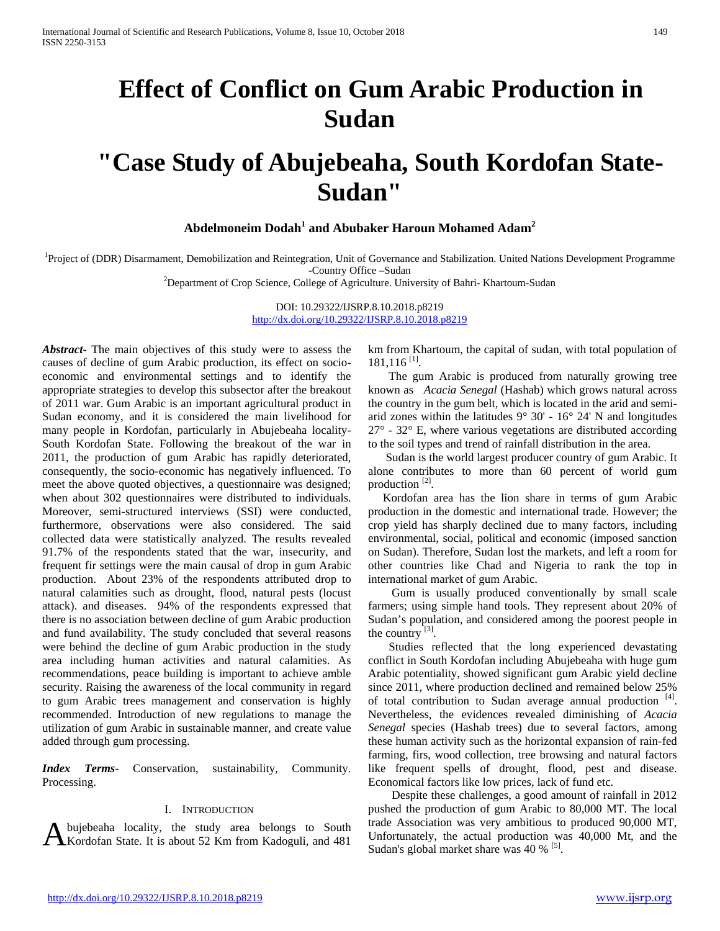# **Effect of Conflict on Gum Arabic Production in Sudan**

# **"Case Study of Abujebeaha, South Kordofan State-Sudan"**

**Abdelmoneim Dodah<sup>1</sup> and Abubaker Haroun Mohamed Adam<sup>2</sup>**

<sup>1</sup>Project of (DDR) Disarmament, Demobilization and Reintegration, Unit of Governance and Stabilization. United Nations Development Programme

-Country Office –Sudan <sup>2</sup> Department of Crop Science, College of Agriculture. University of Bahri- Khartoum-Sudan

DOI: 10.29322/IJSRP.8.10.2018.p8219 <http://dx.doi.org/10.29322/IJSRP.8.10.2018.p8219>

*Abstract***-** The main objectives of this study were to assess the causes of decline of gum Arabic production, its effect on socioeconomic and environmental settings and to identify the appropriate strategies to develop this subsector after the breakout of 2011 war. Gum Arabic is an important agricultural product in Sudan economy, and it is considered the main livelihood for many people in Kordofan, particularly in Abujebeaha locality-South Kordofan State. Following the breakout of the war in 2011, the production of gum Arabic has rapidly deteriorated, consequently, the socio-economic has negatively influenced. To meet the above quoted objectives, a questionnaire was designed; when about 302 questionnaires were distributed to individuals. Moreover, semi-structured interviews (SSI) were conducted, furthermore, observations were also considered. The said collected data were statistically analyzed. The results revealed 91.7% of the respondents stated that the war, insecurity, and frequent fir settings were the main causal of drop in gum Arabic production. About 23% of the respondents attributed drop to natural calamities such as drought, flood, natural pests (locust attack). and diseases. 94% of the respondents expressed that there is no association between decline of gum Arabic production and fund availability. The study concluded that several reasons were behind the decline of gum Arabic production in the study area including human activities and natural calamities. As recommendations, peace building is important to achieve amble security. Raising the awareness of the local community in regard to gum Arabic trees management and conservation is highly recommended. Introduction of new regulations to manage the utilization of gum Arabic in sustainable manner, and create value added through gum processing.

*Index Terms*- Conservation, sustainability, Community. Processing.

### I. INTRODUCTION

bujebeaha locality, the study area belongs to South A bujebeaha locality, the study area belongs to South trade Association was very ambitious to Unfortunately, the actual production was  $\frac{1}{2}$  Kordofan State. It is about 52 Km from Kadoguli, and 481 Sudan's global mark

km from Khartoum, the capital of sudan, with total population of  $181,116$ <sup>[1]</sup>.

 The gum Arabic is produced from naturally growing tree known as *Acacia Senegal* (Hashab) which grows natural across the country in the gum belt, which is located in the arid and semiarid zones within the latitudes 9° 30' - 16° 24' N and longitudes  $27^{\circ}$  - 32 $^{\circ}$  E, where various vegetations are distributed according to the soil types and trend of rainfall distribution in the area.

 Sudan is the world largest producer country of gum Arabic. It alone contributes to more than 60 percent of world gum production  $^{[2]}$ .

 Kordofan area has the lion share in terms of gum Arabic production in the domestic and international trade. However; the crop yield has sharply declined due to many factors, including environmental, social, political and economic (imposed sanction on Sudan). Therefore, Sudan lost the markets, and left a room for other countries like Chad and Nigeria to rank the top in international market of gum Arabic.

 Gum is usually produced conventionally by small scale farmers; using simple hand tools. They represent about 20% of Sudan's population, and considered among the poorest people in the country  $^{[3]}$ .

 Studies reflected that the long experienced devastating conflict in South Kordofan including Abujebeaha with huge gum Arabic potentiality, showed significant gum Arabic yield decline since 2011, where production declined and remained below 25% of total contribution to Sudan average annual production [4]. Nevertheless, the evidences revealed diminishing of *Acacia Senegal* species (Hashab trees) due to several factors, among these human activity such as the horizontal expansion of rain-fed farming, firs, wood collection, tree browsing and natural factors like frequent spells of drought, flood, pest and disease. Economical factors like low prices, lack of fund etc.

 Despite these challenges, a good amount of rainfall in 2012 pushed the production of gum Arabic to 80,000 MT. The local trade Association was very ambitious to produced 90,000 MT, Unfortunately, the actual production was  $40,000$  Mt, and the Sudan's global market share was  $40\%$  <sup>[5]</sup>.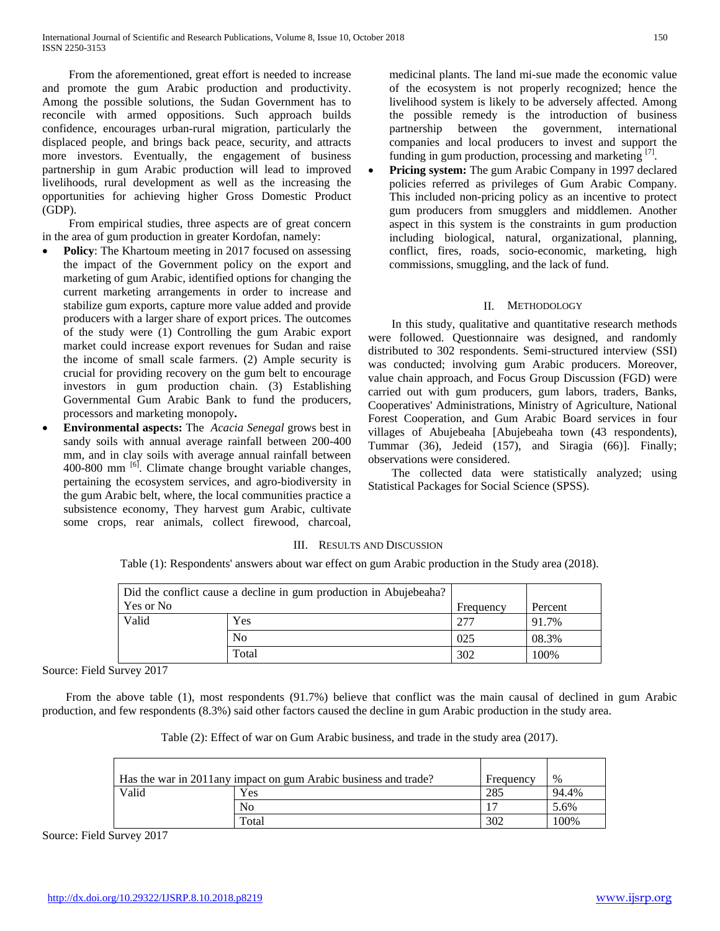From the aforementioned, great effort is needed to increase and promote the gum Arabic production and productivity. Among the possible solutions, the Sudan Government has to reconcile with armed oppositions. Such approach builds confidence, encourages urban-rural migration, particularly the displaced people, and brings back peace, security, and attracts more investors. Eventually, the engagement of business partnership in gum Arabic production will lead to improved livelihoods, rural development as well as the increasing the opportunities for achieving higher Gross Domestic Product (GDP).

 From empirical studies, three aspects are of great concern in the area of gum production in greater Kordofan, namely:

- **Policy**: The Khartoum meeting in 2017 focused on assessing the impact of the Government policy on the export and marketing of gum Arabic, identified options for changing the current marketing arrangements in order to increase and stabilize gum exports, capture more value added and provide producers with a larger share of export prices. The outcomes of the study were (1) Controlling the gum Arabic export market could increase export revenues for Sudan and raise the income of small scale farmers. (2) Ample security is crucial for providing recovery on the gum belt to encourage investors in gum production chain. (3) Establishing Governmental Gum Arabic Bank to fund the producers, processors and marketing monopoly**.**
- **Environmental aspects:** The *Acacia Senegal* grows best in sandy soils with annual average rainfall between 200-400 mm, and in clay soils with average annual rainfall between 400-800 mm  $\left[6\right]$ . Climate change brought variable changes, pertaining the ecosystem services, and agro-biodiversity in the gum Arabic belt, where, the local communities practice a subsistence economy, They harvest gum Arabic, cultivate some crops, rear animals, collect firewood, charcoal,

medicinal plants. The land mi-sue made the economic value of the ecosystem is not properly recognized; hence the livelihood system is likely to be adversely affected. Among the possible remedy is the introduction of business partnership between the government, international companies and local producers to invest and support the funding in gum production, processing and marketing  $[7]$ .

**Pricing system:** The gum Arabic Company in 1997 declared policies referred as privileges of Gum Arabic Company. This included non-pricing policy as an incentive to protect gum producers from smugglers and middlemen. Another aspect in this system is the constraints in gum production including biological, natural, organizational, planning, conflict, fires, roads, socio-economic, marketing, high commissions, smuggling, and the lack of fund.

## II. METHODOLOGY

 In this study, qualitative and quantitative research methods were followed. Questionnaire was designed, and randomly distributed to 302 respondents. Semi-structured interview (SSI) was conducted; involving gum Arabic producers. Moreover, value chain approach, and Focus Group Discussion (FGD) were carried out with gum producers, gum labors, traders, Banks, Cooperatives' Administrations, Ministry of Agriculture, National Forest Cooperation, and Gum Arabic Board services in four villages of Abujebeaha [Abujebeaha town (43 respondents), Tummar (36), Jedeid (157), and Siragia (66)]. Finally; observations were considered.

 The collected data were statistically analyzed; using Statistical Packages for Social Science (SPSS).

## III. RESULTS AND DISCUSSION

Table (1): Respondents' answers about war effect on gum Arabic production in the Study area (2018).

| Did the conflict cause a decline in gum production in Abujebeaha? |                |           |         |
|-------------------------------------------------------------------|----------------|-----------|---------|
| Yes or No                                                         |                | Frequency | Percent |
| Valid                                                             | Yes            | 277       | 91.7%   |
|                                                                   | N <sub>0</sub> | 025       | 08.3%   |
|                                                                   | Total          | 302       | 100%    |

Source: Field Survey 2017

 From the above table (1), most respondents (91.7%) believe that conflict was the main causal of declined in gum Arabic production, and few respondents (8.3%) said other factors caused the decline in gum Arabic production in the study area.

| Has the war in 2011any impact on gum Arabic business and trade? |       | Frequency | $\%$  |
|-----------------------------------------------------------------|-------|-----------|-------|
| Valid                                                           | Yes   | 285       | 94.4% |
|                                                                 | No    |           | 5.6%  |
|                                                                 | Total | 302       | 100%  |

Table (2): Effect of war on Gum Arabic business, and trade in the study area (2017).

Source: Field Survey 2017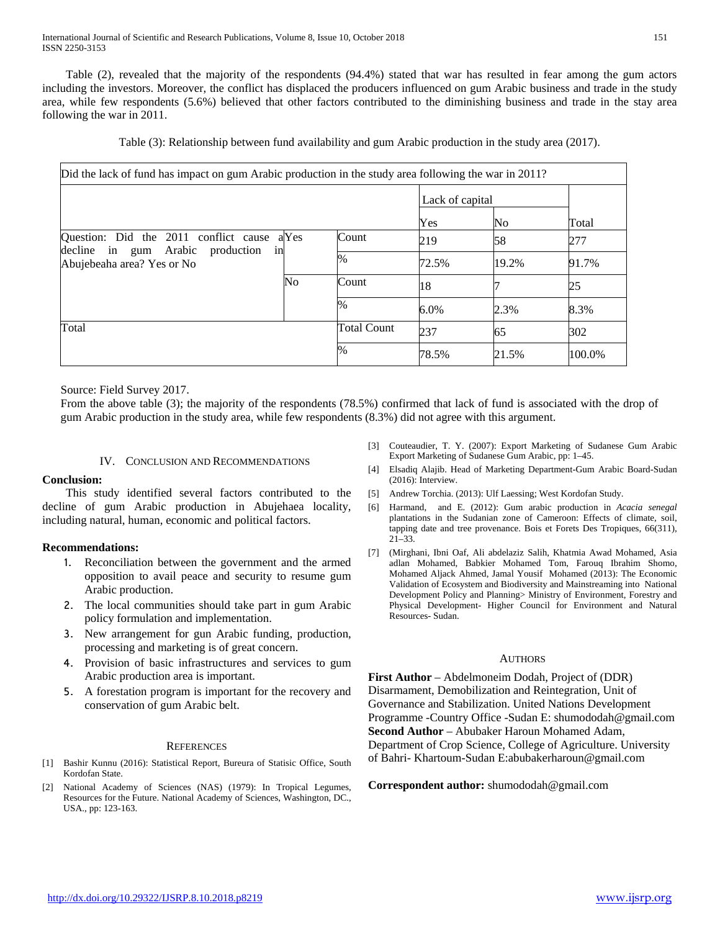Table (2), revealed that the majority of the respondents (94.4%) stated that war has resulted in fear among the gum actors including the investors. Moreover, the conflict has displaced the producers influenced on gum Arabic business and trade in the study area, while few respondents (5.6%) believed that other factors contributed to the diminishing business and trade in the stay area following the war in 2011.

Table (3): Relationship between fund availability and gum Arabic production in the study area (2017).

| Did the lack of fund has impact on gum Arabic production in the study area following the war in 2011? |                    |                 |       |        |
|-------------------------------------------------------------------------------------------------------|--------------------|-----------------|-------|--------|
|                                                                                                       |                    | Lack of capital |       |        |
|                                                                                                       |                    | Yes             | No    | Total  |
| Question: Did the 2011 conflict cause a Yes                                                           | Count              | 219             | 58    | 277    |
| decline in gum Arabic production<br>in<br>Abujebeaha area? Yes or No                                  | $\%$               | 72.5%           | 19.2% | 91.7%  |
| N <sub>0</sub>                                                                                        | Count              | 18              |       | 25     |
|                                                                                                       | $\%$               | 6.0%            | 2.3%  | 8.3%   |
| Total                                                                                                 | <b>Total Count</b> | 237             | 65    | 302    |
|                                                                                                       | $\frac{0}{6}$      | 78.5%           | 21.5% | 100.0% |

Source: Field Survey 2017.

From the above table (3); the majority of the respondents (78.5%) confirmed that lack of fund is associated with the drop of gum Arabic production in the study area, while few respondents (8.3%) did not agree with this argument.

## IV. CONCLUSION AND RECOMMENDATIONS

## **Conclusion:**

 This study identified several factors contributed to the decline of gum Arabic production in Abujehaea locality, including natural, human, economic and political factors.

## **Recommendations:**

- 1. Reconciliation between the government and the armed opposition to avail peace and security to resume gum Arabic production.
- 2. The local communities should take part in gum Arabic policy formulation and implementation.
- 3. New arrangement for gun Arabic funding, production, processing and marketing is of great concern.
- 4. Provision of basic infrastructures and services to gum Arabic production area is important.
- 5. A forestation program is important for the recovery and conservation of gum Arabic belt.

## **REFERENCES**

- [1] Bashir Kunnu (2016): Statistical Report, Bureura of Statisic Office, South Kordofan State.
- National Academy of Sciences (NAS) (1979): In Tropical Legumes, Resources for the Future. National Academy of Sciences, Washington, DC., USA., pp: 123-163.
- [3] Couteaudier, T. Y. (2007): Export Marketing of Sudanese Gum Arabic Export Marketing of Sudanese Gum Arabic, pp: 1–45.
- [4] Elsadiq Alajib. Head of Marketing Department-Gum Arabic Board-Sudan (2016): Interview.
- [5] Andrew Torchia. (2013): Ulf Laessing; West Kordofan Study.
- [6] Harmand, and E. (2012): Gum arabic production in *Acacia senegal*  plantations in the Sudanian zone of Cameroon: Effects of climate, soil, tapping date and tree provenance. Bois et Forets Des Tropiques, 66(311), 21–33.
- [7] (Mirghani, Ibni Oaf, Ali abdelaziz Salih, Khatmia Awad Mohamed, Asia adlan Mohamed, Babkier Mohamed Tom, Farouq Ibrahim Shomo, Mohamed Aljack Ahmed, Jamal Yousif Mohamed (2013): The Economic Validation of Ecosystem and Biodiversity and Mainstreaming into National Development Policy and Planning> Ministry of Environment, Forestry and Physical Development- Higher Council for Environment and Natural Resources- Sudan.

#### **AUTHORS**

**First Author** – Abdelmoneim Dodah, Project of (DDR) Disarmament, Demobilization and Reintegration, Unit of Governance and Stabilization. United Nations Development Programme -Country Office -Sudan E: shumododah@gmail.com **Second Author** – Abubaker Haroun Mohamed Adam, Department of Crop Science, College of Agriculture. University of Bahri- Khartoum-Sudan E:abubakerharoun@gmail.com

**Correspondent author:** shumododah@gmail.com